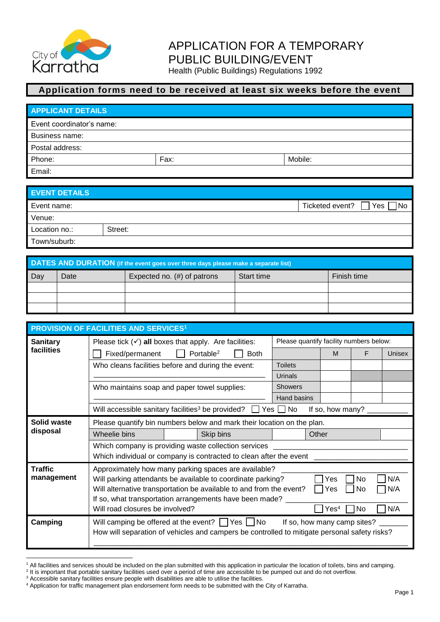

## APPLICATION FOR A TEMPORARY PUBLIC BUILDING/EVENT

Health (Public Buildings) Regulations 1992

## **Application forms need to be received at least six weeks before the event**

| <b>APPLICANT DETAILS</b>  |      |         |  |  |  |  |
|---------------------------|------|---------|--|--|--|--|
| Event coordinator's name: |      |         |  |  |  |  |
| Business name:            |      |         |  |  |  |  |
| Postal address:           |      |         |  |  |  |  |
| Phone:                    | Fax: | Mobile: |  |  |  |  |
| Email:                    |      |         |  |  |  |  |

| <b>EVENT DETAILS</b> |         |                               |
|----------------------|---------|-------------------------------|
| Event name:          |         | Yes<br>Ticketed event?<br>¶No |
| Venue:               |         |                               |
| Location no.:        | Street: |                               |
| Town/suburb:         |         |                               |

| DATES AND DURATION (if the event goes over three days please make a separate list) |                                        |  |            |             |  |  |  |
|------------------------------------------------------------------------------------|----------------------------------------|--|------------|-------------|--|--|--|
| Day                                                                                | Expected no. $(\#)$ of patrons<br>Date |  | Start time | Finish time |  |  |  |
|                                                                                    |                                        |  |            |             |  |  |  |
|                                                                                    |                                        |  |            |             |  |  |  |
|                                                                                    |                                        |  |            |             |  |  |  |

| <b>PROVISION OF FACILITIES AND SERVICES<sup>1</sup></b> |                                                                                                                                                            |                                      |                             |                  |     |        |  |
|---------------------------------------------------------|------------------------------------------------------------------------------------------------------------------------------------------------------------|--------------------------------------|-----------------------------|------------------|-----|--------|--|
| <b>Sanitary</b>                                         | Please quantify facility numbers below:<br>Please tick $(\checkmark)$ all boxes that apply. Are facilities:                                                |                                      |                             |                  |     |        |  |
| facilities                                              | Fixed/permanent                                                                                                                                            | Portable <sup>2</sup><br><b>Both</b> |                             | M                | F   | Unisex |  |
|                                                         | Who cleans facilities before and during the event:                                                                                                         |                                      | <b>Toilets</b>              |                  |     |        |  |
|                                                         |                                                                                                                                                            |                                      | Urinals                     |                  |     |        |  |
|                                                         | Who maintains soap and paper towel supplies:                                                                                                               |                                      | <b>Showers</b>              |                  |     |        |  |
|                                                         |                                                                                                                                                            |                                      | Hand basins                 |                  |     |        |  |
|                                                         | Will accessible sanitary facilities <sup>3</sup> be provided?                                                                                              |                                      | No<br>Yes II                | If so, how many? |     |        |  |
| Solid waste                                             | Please quantify bin numbers below and mark their location on the plan.                                                                                     |                                      |                             |                  |     |        |  |
| disposal                                                | Wheelie bins                                                                                                                                               | Skip bins                            | Other                       |                  |     |        |  |
|                                                         | Which company is providing waste collection services                                                                                                       |                                      |                             |                  |     |        |  |
|                                                         | Which individual or company is contracted to clean after the event                                                                                         |                                      |                             |                  |     |        |  |
| <b>Traffic</b>                                          | Approximately how many parking spaces are available?                                                                                                       |                                      |                             |                  |     |        |  |
| management                                              | Will parking attendants be available to coordinate parking?                                                                                                |                                      |                             | Yes              | No. | N/A    |  |
|                                                         | Will alternative transportation be available to and from the event?                                                                                        |                                      |                             | Yes              | No  | N/A    |  |
|                                                         | If so, what transportation arrangements have been made?<br>Will road closures be involved?                                                                 |                                      |                             | Yes <sup>4</sup> | No  | N/A    |  |
|                                                         |                                                                                                                                                            |                                      |                             |                  |     |        |  |
| Camping                                                 | Will camping be offered at the event? $\Box$ Yes $\Box$ No<br>How will separation of vehicles and campers be controlled to mitigate personal safety risks? |                                      | If so, how many camp sites? |                  |     |        |  |
|                                                         |                                                                                                                                                            |                                      |                             |                  |     |        |  |

l <sup>1</sup> All facilities and services should be included on the plan submitted with this application in particular the location of toilets, bins and camping.

<sup>&</sup>lt;sup>2</sup> It is important that portable sanitary facilities used over a period of time are accessible to be pumped out and do not overflow.

<sup>&</sup>lt;sup>3</sup> Accessible sanitary facilities ensure people with disabilities are able to utilise the facilities.

<sup>4</sup> Application for traffic management plan endorsement form needs to be submitted with the City of Karratha.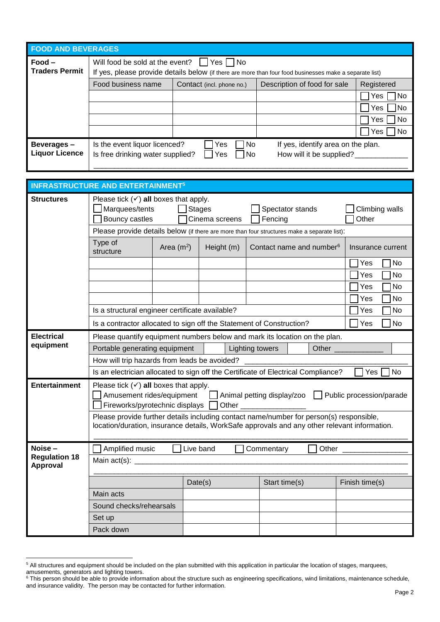| <b>FOOD AND BEVERAGES</b>           |                                                                                                                                                                    |                                                                         |                                                                |                  |  |  |  |
|-------------------------------------|--------------------------------------------------------------------------------------------------------------------------------------------------------------------|-------------------------------------------------------------------------|----------------------------------------------------------------|------------------|--|--|--|
| Food –<br><b>Traders Permit</b>     | $\Box$ Yes $\Box$ No<br>Will food be sold at the event?<br>If yes, please provide details below (if there are more than four food businesses make a separate list) |                                                                         |                                                                |                  |  |  |  |
|                                     | Food business name                                                                                                                                                 | Description of food for sale<br>Registered<br>Contact (incl. phone no.) |                                                                |                  |  |  |  |
|                                     |                                                                                                                                                                    |                                                                         |                                                                | Yes<br> No       |  |  |  |
|                                     |                                                                                                                                                                    |                                                                         |                                                                | No<br>Yes        |  |  |  |
|                                     |                                                                                                                                                                    |                                                                         |                                                                | <b>No</b><br>Yes |  |  |  |
|                                     |                                                                                                                                                                    |                                                                         |                                                                | <b>No</b><br>Yes |  |  |  |
| Beverages-<br><b>Liquor Licence</b> | Is the event liquor licenced?<br>Is free drinking water supplied?                                                                                                  | No<br>Yes<br>Yes<br>l No                                                | If yes, identify area on the plan.<br>How will it be supplied? |                  |  |  |  |

|                                  | <b>INFRASTRUCTURE AND ENTERTAINMENT<sup>5</sup></b>                                                                                                                                     |             |            |                 |                                      |  |       |                                                         |  |           |
|----------------------------------|-----------------------------------------------------------------------------------------------------------------------------------------------------------------------------------------|-------------|------------|-----------------|--------------------------------------|--|-------|---------------------------------------------------------|--|-----------|
| <b>Structures</b>                | Please tick $(\checkmark)$ all boxes that apply.<br>Marquees/tents<br><b>Stages</b><br>Spectator stands<br>Climbing walls<br>Bouncy castles<br>Cinema screens<br>Fencing<br>Other       |             |            |                 |                                      |  |       |                                                         |  |           |
|                                  | Please provide details below (if there are more than four structures make a separate list):                                                                                             |             |            |                 |                                      |  |       |                                                         |  |           |
|                                  | Type of<br>structure                                                                                                                                                                    | Area $(m2)$ | Height (m) |                 | Contact name and number <sup>6</sup> |  |       | Insurance current                                       |  |           |
|                                  |                                                                                                                                                                                         |             |            |                 |                                      |  |       | Yes                                                     |  | No        |
|                                  |                                                                                                                                                                                         |             |            |                 |                                      |  |       | Yes                                                     |  | No        |
|                                  |                                                                                                                                                                                         |             |            |                 |                                      |  |       | Yes                                                     |  | No        |
|                                  |                                                                                                                                                                                         |             |            |                 |                                      |  |       | Yes                                                     |  | No        |
|                                  | Is a structural engineer certificate available?                                                                                                                                         |             |            |                 |                                      |  |       | Yes                                                     |  | No        |
|                                  | Is a contractor allocated to sign off the Statement of Construction?                                                                                                                    |             |            |                 |                                      |  |       | Yes                                                     |  | <b>No</b> |
| <b>Electrical</b>                | Please quantify equipment numbers below and mark its location on the plan.                                                                                                              |             |            |                 |                                      |  |       |                                                         |  |           |
| equipment                        | Portable generating equipment                                                                                                                                                           |             |            | Lighting towers |                                      |  | Other |                                                         |  |           |
|                                  | How will trip hazards from leads be avoided?                                                                                                                                            |             |            |                 |                                      |  |       |                                                         |  |           |
|                                  | Is an electrician allocated to sign off the Certificate of Electrical Compliance?                                                                                                       |             |            |                 |                                      |  |       | Yes                                                     |  | No        |
| <b>Entertainment</b>             | Please tick $(\checkmark)$ all boxes that apply.<br>Amusement rides/equipment<br>Fireworks/pyrotechnic displays                                                                         |             |            |                 |                                      |  |       | △ Animal petting display/zoo △ Public procession/parade |  |           |
|                                  | Please provide further details including contact name/number for person(s) responsible,<br>location/duration, insurance details, WorkSafe approvals and any other relevant information. |             |            |                 |                                      |  |       |                                                         |  |           |
| Noise-                           | Amplified music                                                                                                                                                                         |             | Live band  |                 | Commentary                           |  | Other |                                                         |  |           |
| <b>Regulation 18</b><br>Approval | Main $act(s)$ : _                                                                                                                                                                       |             |            |                 |                                      |  |       |                                                         |  |           |
|                                  |                                                                                                                                                                                         |             | Date(s)    |                 | Start time(s)                        |  |       | Finish time(s)                                          |  |           |
|                                  | Main acts                                                                                                                                                                               |             |            |                 |                                      |  |       |                                                         |  |           |
|                                  | Sound checks/rehearsals                                                                                                                                                                 |             |            |                 |                                      |  |       |                                                         |  |           |
|                                  | Set up                                                                                                                                                                                  |             |            |                 |                                      |  |       |                                                         |  |           |
|                                  | Pack down                                                                                                                                                                               |             |            |                 |                                      |  |       |                                                         |  |           |

l

<sup>&</sup>lt;sup>5</sup> All structures and equipment should be included on the plan submitted with this application in particular the location of stages, marquees, amusements, generators and lighting towers.

 $6$  This person should be able to provide information about the structure such as engineering specifications, wind limitations, maintenance schedule, and insurance validity. The person may be contacted for further information.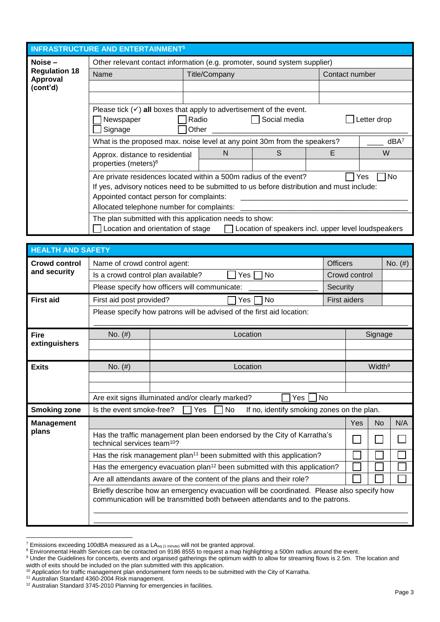| <b>INFRASTRUCTURE AND ENTERTAINMENT<sup>5</sup></b> |                                                                                           |                                      |               |                                                     |  |                |                       |  |
|-----------------------------------------------------|-------------------------------------------------------------------------------------------|--------------------------------------|---------------|-----------------------------------------------------|--|----------------|-----------------------|--|
| Noise -                                             | Other relevant contact information (e.g. promoter, sound system supplier)                 |                                      |               |                                                     |  |                |                       |  |
| <b>Regulation 18</b><br><b>Approval</b>             | Name                                                                                      |                                      | Title/Company |                                                     |  | Contact number |                       |  |
| (cont'd)                                            |                                                                                           |                                      |               |                                                     |  |                |                       |  |
|                                                     |                                                                                           |                                      |               |                                                     |  |                |                       |  |
|                                                     | Please tick $(v)$ all boxes that apply to advertisement of the event.                     |                                      |               |                                                     |  |                |                       |  |
|                                                     | Newspaper                                                                                 | Social media<br>Letter drop<br>Radio |               |                                                     |  |                |                       |  |
|                                                     | Signage<br>Other                                                                          |                                      |               |                                                     |  |                |                       |  |
|                                                     | What is the proposed max. noise level at any point 30m from the speakers?<br>$dBA^7$      |                                      |               |                                                     |  |                |                       |  |
|                                                     | S<br>N<br>Approx. distance to residential                                                 |                                      |               |                                                     |  |                | W                     |  |
|                                                     | properties (meters) <sup>8</sup>                                                          |                                      |               |                                                     |  |                |                       |  |
|                                                     | Are private residences located within a 500m radius of the event?                         |                                      |               |                                                     |  |                | N <sub>o</sub><br>Yes |  |
|                                                     | If yes, advisory notices need to be submitted to us before distribution and must include: |                                      |               |                                                     |  |                |                       |  |
|                                                     | Appointed contact person for complaints:                                                  |                                      |               |                                                     |  |                |                       |  |
| Allocated telephone number for complaints:          |                                                                                           |                                      |               |                                                     |  |                |                       |  |
|                                                     | The plan submitted with this application needs to show:                                   |                                      |               |                                                     |  |                |                       |  |
|                                                     | Location and orientation of stage                                                         |                                      |               | Location of speakers incl. upper level loudspeakers |  |                |                       |  |

| <b>HEALTH AND SAFETY</b> |                                                                                                                    |                                                   |                                                                                                                                                                            |                 |               |                    |           |  |
|--------------------------|--------------------------------------------------------------------------------------------------------------------|---------------------------------------------------|----------------------------------------------------------------------------------------------------------------------------------------------------------------------------|-----------------|---------------|--------------------|-----------|--|
| <b>Crowd control</b>     | Name of crowd control agent:                                                                                       |                                                   |                                                                                                                                                                            | <b>Officers</b> |               |                    | No. $(#)$ |  |
| and security             | Is a crowd control plan available?                                                                                 |                                                   | <b>No</b><br>Yes                                                                                                                                                           |                 | Crowd control |                    |           |  |
|                          |                                                                                                                    | Please specify how officers will communicate:     |                                                                                                                                                                            | Security        |               |                    |           |  |
| <b>First aid</b>         | First aid post provided?                                                                                           | <b>First aiders</b>                               |                                                                                                                                                                            |                 |               |                    |           |  |
|                          |                                                                                                                    |                                                   | Please specify how patrons will be advised of the first aid location:                                                                                                      |                 |               |                    |           |  |
| <b>Fire</b>              | No. $(#)$                                                                                                          |                                                   | Location                                                                                                                                                                   |                 |               | Signage            |           |  |
| extinguishers            |                                                                                                                    |                                                   |                                                                                                                                                                            |                 |               |                    |           |  |
|                          |                                                                                                                    |                                                   |                                                                                                                                                                            |                 |               |                    |           |  |
| <b>Exits</b>             | No. $(#)$<br>Location                                                                                              |                                                   |                                                                                                                                                                            |                 |               | Width <sup>9</sup> |           |  |
|                          |                                                                                                                    |                                                   |                                                                                                                                                                            |                 |               |                    |           |  |
|                          |                                                                                                                    | Are exit signs illuminated and/or clearly marked? | Yes No                                                                                                                                                                     |                 |               |                    |           |  |
| <b>Smoking zone</b>      | Is the event smoke-free?                                                                                           | 7 Yes                                             | No<br>If no, identify smoking zones on the plan.                                                                                                                           |                 |               |                    |           |  |
| <b>Management</b>        |                                                                                                                    |                                                   |                                                                                                                                                                            |                 | Yes           | <b>No</b>          | N/A       |  |
| plans                    | Has the traffic management plan been endorsed by the City of Karratha's<br>technical services team <sup>10</sup> ? |                                                   |                                                                                                                                                                            |                 |               |                    |           |  |
|                          |                                                                                                                    |                                                   | Has the risk management plan <sup>11</sup> been submitted with this application?                                                                                           |                 |               |                    |           |  |
|                          | Has the emergency evacuation plan <sup>12</sup> been submitted with this application?                              |                                                   |                                                                                                                                                                            |                 |               |                    |           |  |
|                          | Are all attendants aware of the content of the plans and their role?                                               |                                                   |                                                                                                                                                                            |                 |               |                    |           |  |
|                          |                                                                                                                    |                                                   | Briefly describe how an emergency evacuation will be coordinated. Please also specify how<br>communication will be transmitted both between attendants and to the patrons. |                 |               |                    |           |  |
|                          |                                                                                                                    |                                                   |                                                                                                                                                                            |                 |               |                    |           |  |

l

<sup>&</sup>lt;sup>7</sup> Emissions exceeding 100dBA measured as a LA $_{eq(1\text{ minute})}$  will not be granted approval.

<sup>&</sup>lt;sup>8</sup> Environmental Health Services can be contacted on 9186 8555 to request a map highlighting a 500m radius around the event.

<sup>&</sup>lt;sup>9</sup> Under the Guidelines for concerts, events and organised gatherings the optimum width to allow for streaming flows is 2.5m. The location and width of exits should be included on the plan submitted with this application.

 $10$  Application for traffic management plan endorsement form needs to be submitted with the City of Karratha.

<sup>&</sup>lt;sup>11</sup> Australian Standard 4360-2004 Risk management.

 $12$  Australian Standard 3745-2010 Planning for emergencies in facilities.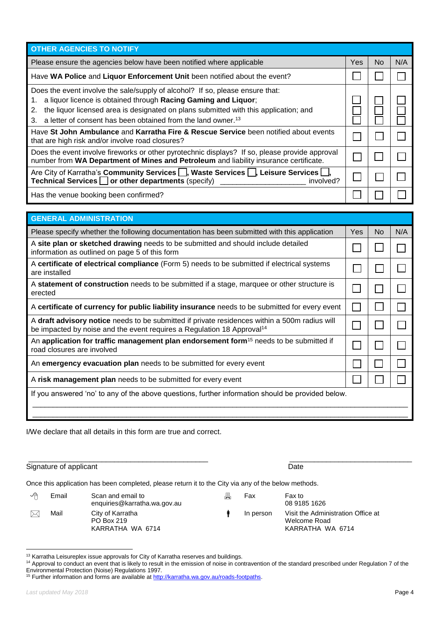| <sup>13</sup> Karratha Leisureplex issue approvals for City of Karratha reserves and buildings.                                                                    |        |
|--------------------------------------------------------------------------------------------------------------------------------------------------------------------|--------|
| <sup>14</sup> Approval to conduct an event that is likely to result in the emission of noise in contravention of the standard prescribed under Regulation 7 of the |        |
| Environmental Protection (Noise) Regulations 1997.                                                                                                                 |        |
| <sup>15</sup> Further information and forms are available at http://karratha.wa.gov.au/roads-footpaths.                                                            |        |
|                                                                                                                                                                    |        |
| Last updated May 2018                                                                                                                                              | Page 4 |
|                                                                                                                                                                    |        |

| Yes<br>No.<br>a liquor licence is obtained through Racing Gaming and Liquor;<br>the liquor licensed area is designated on plans submitted with this application; and<br>a letter of consent has been obtained from the land owner. <sup>13</sup> |                                                                                                                                                                                         |  |  |     |
|--------------------------------------------------------------------------------------------------------------------------------------------------------------------------------------------------------------------------------------------------|-----------------------------------------------------------------------------------------------------------------------------------------------------------------------------------------|--|--|-----|
|                                                                                                                                                                                                                                                  | <b>OTHER AGENCIES TO NOTIFY</b>                                                                                                                                                         |  |  |     |
|                                                                                                                                                                                                                                                  | Please ensure the agencies below have been notified where applicable                                                                                                                    |  |  | N/A |
|                                                                                                                                                                                                                                                  | Have WA Police and Liquor Enforcement Unit been notified about the event?                                                                                                               |  |  |     |
|                                                                                                                                                                                                                                                  | Does the event involve the sale/supply of alcohol? If so, please ensure that:<br>1.<br>2.<br>3.                                                                                         |  |  |     |
|                                                                                                                                                                                                                                                  | Have St John Ambulance and Karratha Fire & Rescue Service been notified about events<br>that are high risk and/or involve road closures?                                                |  |  |     |
|                                                                                                                                                                                                                                                  | Does the event involve fireworks or other pyrotechnic displays? If so, please provide approval<br>number from WA Department of Mines and Petroleum and liability insurance certificate. |  |  |     |
| involved?                                                                                                                                                                                                                                        | Are City of Karratha's Community Services $\Box$ , Waste Services $\Box$ , Leisure Services $\Box$ ,<br>Technical Services or other departments (specify)                               |  |  |     |
|                                                                                                                                                                                                                                                  | Has the venue booking been confirmed?                                                                                                                                                   |  |  |     |

| <b>GENERAL ADMINISTRATION</b>                                                                                                                                                       |     |     |     |  |  |  |
|-------------------------------------------------------------------------------------------------------------------------------------------------------------------------------------|-----|-----|-----|--|--|--|
| Please specify whether the following documentation has been submitted with this application                                                                                         | Yes | No. | N/A |  |  |  |
| A site plan or sketched drawing needs to be submitted and should include detailed<br>information as outlined on page 5 of this form                                                 |     |     |     |  |  |  |
| A certificate of electrical compliance (Form 5) needs to be submitted if electrical systems<br>are installed                                                                        |     |     |     |  |  |  |
| A statement of construction needs to be submitted if a stage, marquee or other structure is<br>erected                                                                              |     |     |     |  |  |  |
| A certificate of currency for public liability insurance needs to be submitted for every event                                                                                      |     |     |     |  |  |  |
| A draft advisory notice needs to be submitted if private residences within a 500m radius will<br>be impacted by noise and the event requires a Regulation 18 Approval <sup>14</sup> |     |     |     |  |  |  |
| An application for traffic management plan endorsement form <sup>15</sup> needs to be submitted if<br>road closures are involved                                                    |     |     |     |  |  |  |
| An emergency evacuation plan needs to be submitted for every event                                                                                                                  |     |     |     |  |  |  |
| A risk management plan needs to be submitted for every event                                                                                                                        |     |     |     |  |  |  |
| If you answered 'no' to any of the above questions, further information should be provided below.                                                                                   |     |     |     |  |  |  |
|                                                                                                                                                                                     |     |     |     |  |  |  |

I/We declare that all details in this form are true and correct.

Signature of applicant Date Date Date Date Date

Once this application has been completed, please return it to the City via any of the below methods.

| ✓ | Email | Scan and email to<br>enquiries@karratha.wa.gov.au  | 具 | Fax       | Fax to<br>08 9185 1626                                                 |
|---|-------|----------------------------------------------------|---|-----------|------------------------------------------------------------------------|
| ᢂ | Mail  | City of Karratha<br>PO Box 219<br>KARRATHA WA 6714 |   | In person | Visit the Administration Office at<br>Welcome Road<br>KARRATHA WA 6714 |

 $13$  Karratha Leisureplex issue approvals for City of Karratha reserves and buildings.

\_\_\_\_\_\_\_\_\_\_\_\_\_\_\_\_\_\_\_\_\_\_\_\_\_\_\_\_\_\_\_\_\_\_\_\_\_\_\_\_\_\_\_\_ \_\_\_\_\_\_\_\_\_\_\_\_\_\_\_\_\_\_\_\_\_\_\_\_\_\_\_\_\_\_

l

<sup>&</sup>lt;sup>14</sup> Approval to conduct an event that is likely to result in the emission of noise in contravention of the standard prescribed under Regulation 7 of the Environmental Protection (Noise) Regulations 1997.

<sup>15</sup> Further information and forms are available at http://karratha.wa.gov.au/roads-fo